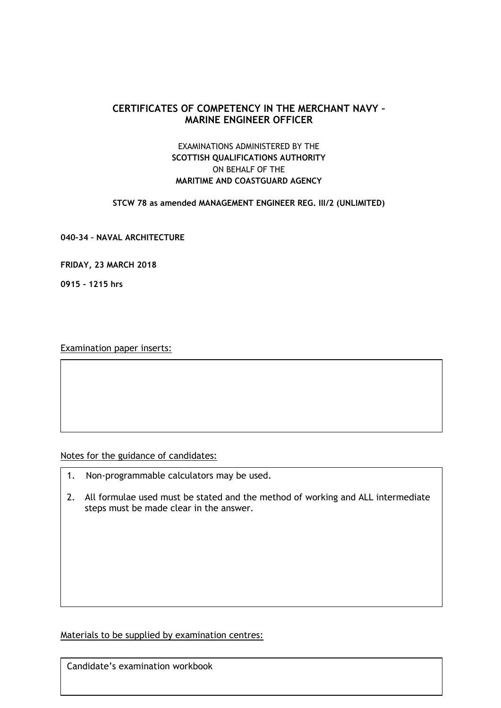# **CERTIFICATES OF COMPETENCY IN THE MERCHANT NAVY – MARINE ENGINEER OFFICER**

# EXAMINATIONS ADMINISTERED BY THE **SCOTTISH QUALIFICATIONS AUTHORITY** ON BEHALF OF THE **MARITIME AND COASTGUARD AGENCY**

**STCW 78 as amended MANAGEMENT ENGINEER REG. III/2 (UNLIMITED)**

**040-34 – NAVAL ARCHITECTURE**

**FRIDAY, 23 MARCH 2018**

**0915 - 1215 hrs**

Examination paper inserts:

Notes for the guidance of candidates:

- 1. Non-programmable calculators may be used.
- 2. All formulae used must be stated and the method of working and ALL intermediate steps must be made clear in the answer.

Materials to be supplied by examination centres:

Candidate's examination workbook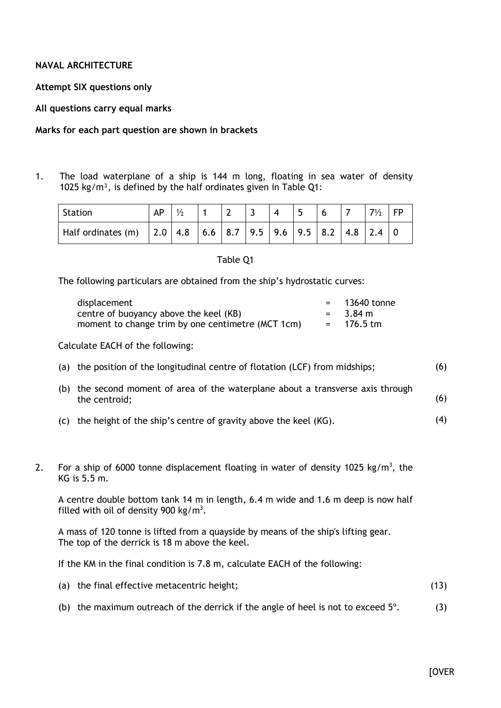# **NAVAL ARCHITECTURE**

**Attempt SIX questions only**

**All questions carry equal marks**

#### **Marks for each part question are shown in brackets**

1. The load waterplane of a ship is 144 m long, floating in sea water of density 1025 kg/m<sup>3</sup>, is defined by the half ordinates given in Table Q1:

| <b>Station</b> | AP | 1/2 |  |  |  |  |  |
|----------------|----|-----|--|--|--|--|--|
|                |    |     |  |  |  |  |  |

#### Table Q1

The following particulars are obtained from the ship's hydrostatic curves:

| displacement                                      | $=$ 13640 tonne |
|---------------------------------------------------|-----------------|
| centre of buoyancy above the keel (KB)            | $=$ 3.84 m      |
| moment to change trim by one centimetre (MCT 1cm) | $= 176.5$ tm    |

Calculate EACH of the following:

- (a) the position of the longitudinal centre of flotation (LCF) from midships; (6)
- (b) the second moment of area of the waterplane about a transverse axis through the centroid; (6)
- (c) the height of the ship's centre of gravity above the keel (KG). (4)
- 2. For a ship of 6000 tonne displacement floating in water of density 1025 kg/m<sup>3</sup>, the KG is 5.5 m.

A centre double bottom tank 14 m in length, 6.4 m wide and 1.6 m deep is now half filled with oil of density 900 kg/m<sup>3</sup>.

A mass of 120 tonne is lifted from a quayside by means of the ship's lifting gear. The top of the derrick is 18 m above the keel.

If the KM in the final condition is 7.8 m, calculate EACH of the following:

| (a) the final effective metacentric height; | (13) |
|---------------------------------------------|------|
|                                             |      |

(b) the maximum outreach of the derrick if the angle of heel is not to exceed 5º. (3)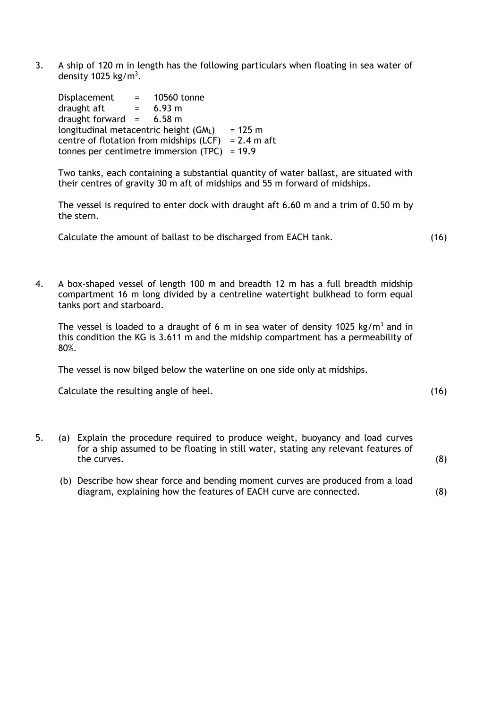3. A ship of 120 m in length has the following particulars when floating in sea water of density 1025 kg/m<sup>3</sup>.

Displacement = 10560 tonne draught aft  $= 6.93 \text{ m}$ draught forward  $=$  6.58 m longitudinal metacentric height  $(GM_1)$  = 125 m centre of flotation from midships (LCF) =  $2.4$  m aft tonnes per centimetre immersion (TPC) = 19.9

Two tanks, each containing a substantial quantity of water ballast, are situated with their centres of gravity 30 m aft of midships and 55 m forward of midships.

The vessel is required to enter dock with draught aft 6.60 m and a trim of 0.50 m by the stern.

Calculate the amount of ballast to be discharged from EACH tank. (16)

4. A box-shaped vessel of length 100 m and breadth 12 m has a full breadth midship compartment 16 m long divided by a centreline watertight bulkhead to form equal tanks port and starboard.

The vessel is loaded to a draught of 6 m in sea water of density 1025 kg/m<sup>3</sup> and in this condition the KG is 3.611 m and the midship compartment has a permeability of 80%.

The vessel is now bilged below the waterline on one side only at midships.

Calculate the resulting angle of heel. (16) Calculate the resulting angle of heel.

5. (a) Explain the procedure required to produce weight, buoyancy and load curves for a ship assumed to be floating in still water, stating any relevant features of the curves.

(b) Describe how shear force and bending moment curves are produced from a load diagram, explaining how the features of EACH curve are connected.

(8)

(8)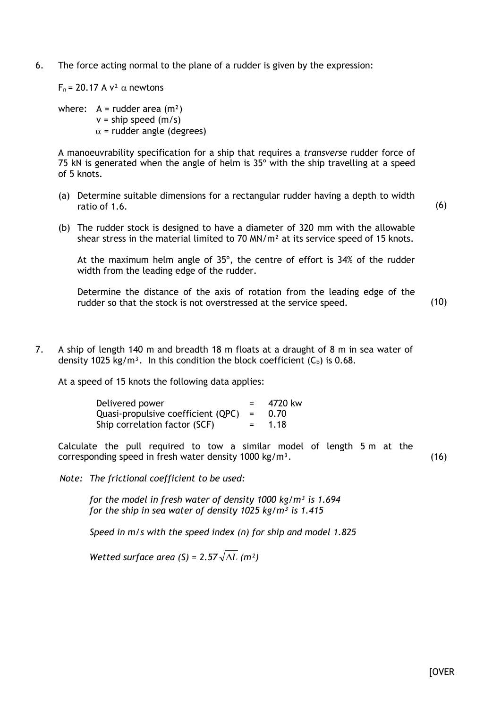6. The force acting normal to the plane of a rudder is given by the expression:

 $F_n = 20.17 \text{ A} \text{ V}^2 \alpha \text{ newtons}$ 

where:  $A = r$ udder area  $(m<sup>2</sup>)$  $v =$ ship speed (m/s)  $\alpha$  = rudder angle (degrees)

A manoeuvrability specification for a ship that requires a *transvers*e rudder force of 75 kN is generated when the angle of helm is 35º with the ship travelling at a speed of 5 knots.

(a) Determine suitable dimensions for a rectangular rudder having a depth to width ratio of 1.6.

(b) The rudder stock is designed to have a diameter of 320 mm with the allowable shear stress in the material limited to 70  $MN/m<sup>2</sup>$  at its service speed of 15 knots.

At the maximum helm angle of 35º, the centre of effort is 34% of the rudder width from the leading edge of the rudder.

Determine the distance of the axis of rotation from the leading edge of the rudder so that the stock is not overstressed at the service speed.

(10)

(6)

7. A ship of length 140 m and breadth 18 m floats at a draught of 8 m in sea water of density 1025 kg/m<sup>3</sup>. In this condition the block coefficient  $(C_b)$  is 0.68.

At a speed of 15 knots the following data applies:

| Delivered power                        |            | 4720 kw |
|----------------------------------------|------------|---------|
| Quasi-propulsive coefficient $(QPC)$ = |            | 0.70    |
| Ship correlation factor (SCF)          | $=$ $\sim$ | 1.18    |

Calculate the pull required to tow a similar model of length 5 m at the corresponding speed in fresh water density  $1000 \text{ kg/m}^3$ . (16)

*Note: The frictional coefficient to be used:*

*for the model in fresh water of density 1000 kg/m³ is 1.694 for the ship in sea water of density 1025 kg/m³ is 1.415*

*Speed in m/s with the speed index (n) for ship and model 1.825*

*Wetted surface area (S) = 2.57*  $\sqrt{\Delta L}$  *(m<sup>2</sup>)*